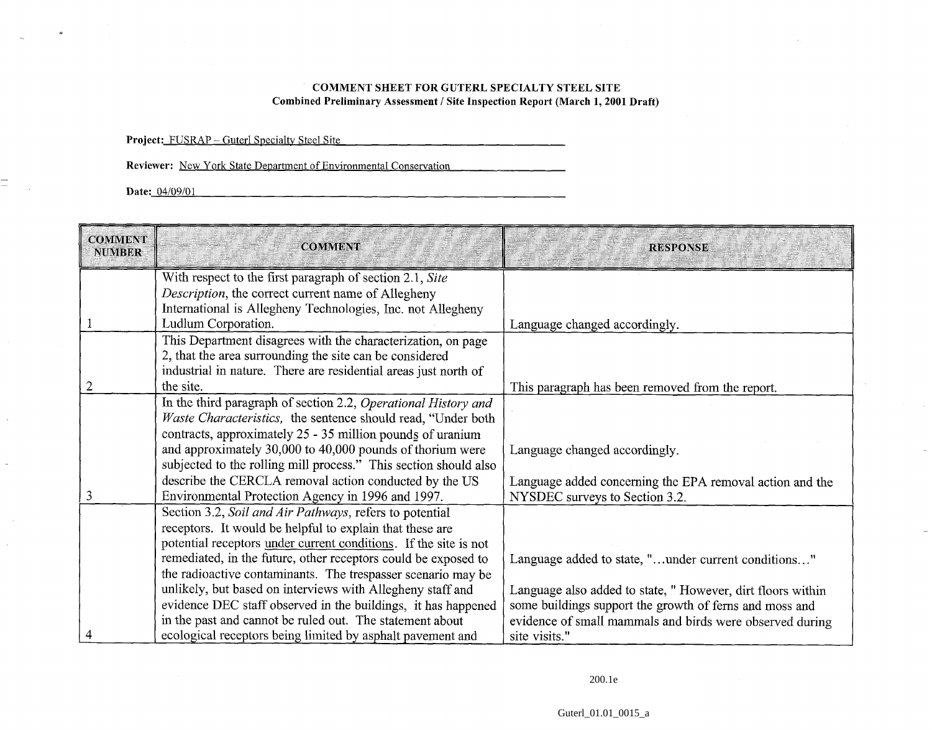## **COMMENT SHEET FOR GUTERL SPECIALTY STEEL SITE Combined Preliminary Assessment** / **Site Inspection Report (March** 1,2001 **Draft)**

<u> 1950 - Antonio Alemania, mpikambana mpikambana amin'ny fivondronan-kaominin'i California ao amin'ny fivondronan-</u>

Project: FUSRAP - Guterl Specialty Steel Site

**Reviewer:** New York State Department of Environmental Conservation

**Date:** 04/09/01

 $\equiv$ 

| <b>COMMENT</b><br><b>NUMBER</b> | <b>COMMENT</b>                                                   | <b>RESPONSE</b>                                            |
|---------------------------------|------------------------------------------------------------------|------------------------------------------------------------|
|                                 | With respect to the first paragraph of section 2.1, Site         |                                                            |
|                                 | Description, the correct current name of Allegheny               |                                                            |
|                                 | International is Allegheny Technologies, Inc. not Allegheny      |                                                            |
|                                 | Ludlum Corporation.                                              | Language changed accordingly.                              |
|                                 | This Department disagrees with the characterization, on page     |                                                            |
|                                 | 2, that the area surrounding the site can be considered          |                                                            |
|                                 | industrial in nature. There are residential areas just north of  |                                                            |
|                                 | the site.                                                        | This paragraph has been removed from the report.           |
|                                 | In the third paragraph of section 2.2, Operational History and   |                                                            |
|                                 | Waste Characteristics, the sentence should read, "Under both     |                                                            |
|                                 | contracts, approximately 25 - 35 million pounds of uranium       |                                                            |
|                                 | and approximately 30,000 to 40,000 pounds of thorium were        | Language changed accordingly.                              |
|                                 | subjected to the rolling mill process." This section should also |                                                            |
|                                 | describe the CERCLA removal action conducted by the US           | Language added concerning the EPA removal action and the   |
| 3                               | Environmental Protection Agency in 1996 and 1997.                | NYSDEC surveys to Section 3.2.                             |
|                                 | Section 3.2, Soil and Air Pathways, refers to potential          |                                                            |
|                                 | receptors. It would be helpful to explain that these are         |                                                            |
|                                 | potential receptors under current conditions. If the site is not |                                                            |
|                                 | remediated, in the future, other receptors could be exposed to   | Language added to state, "under current conditions"        |
|                                 | the radioactive contaminants. The trespasser scenario may be     |                                                            |
|                                 | unlikely, but based on interviews with Allegheny staff and       | Language also added to state, "However, dirt floors within |
|                                 | evidence DEC staff observed in the buildings, it has happened    | some buildings support the growth of ferns and moss and    |
|                                 | in the past and cannot be ruled out. The statement about         | evidence of small mammals and birds were observed during   |
|                                 | ecological receptors being limited by asphalt pavement and       | site visits."                                              |

200.1e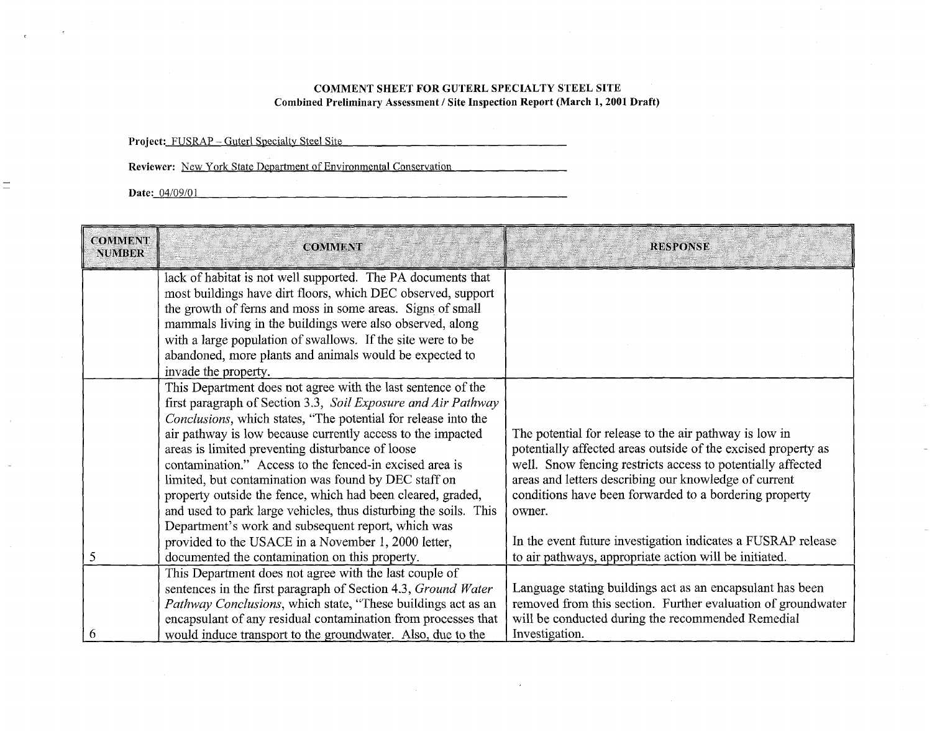## **COMMENT SHEET FOR GUTERL SPECIALTY STEEL SITE**  Combined Preliminary Assessment / Site Inspection Report (March 1, 2001 Draft)

|                                 | Project: FUSRAP - Guterl Specialty Steel Site<br>Reviewer: New York State Department of Environmental Conservation                                                                                                                                                                                                                                                                                                                                                                                                                                                       |                                                                                                                                                                                                                                                                                                                            |
|---------------------------------|--------------------------------------------------------------------------------------------------------------------------------------------------------------------------------------------------------------------------------------------------------------------------------------------------------------------------------------------------------------------------------------------------------------------------------------------------------------------------------------------------------------------------------------------------------------------------|----------------------------------------------------------------------------------------------------------------------------------------------------------------------------------------------------------------------------------------------------------------------------------------------------------------------------|
|                                 | Date: 04/09/01                                                                                                                                                                                                                                                                                                                                                                                                                                                                                                                                                           |                                                                                                                                                                                                                                                                                                                            |
|                                 |                                                                                                                                                                                                                                                                                                                                                                                                                                                                                                                                                                          |                                                                                                                                                                                                                                                                                                                            |
| <b>COMMENT</b><br><b>NUMBER</b> | <b>COMMENT</b>                                                                                                                                                                                                                                                                                                                                                                                                                                                                                                                                                           | <b>RESPONSE</b>                                                                                                                                                                                                                                                                                                            |
|                                 | lack of habitat is not well supported. The PA documents that<br>most buildings have dirt floors, which DEC observed, support<br>the growth of ferns and moss in some areas. Signs of small<br>mammals living in the buildings were also observed, along<br>with a large population of swallows. If the site were to be<br>abandoned, more plants and animals would be expected to<br>invade the property.                                                                                                                                                                |                                                                                                                                                                                                                                                                                                                            |
|                                 | This Department does not agree with the last sentence of the<br>first paragraph of Section 3.3, Soil Exposure and Air Pathway<br>Conclusions, which states, "The potential for release into the<br>air pathway is low because currently access to the impacted<br>areas is limited preventing disturbance of loose<br>contamination." Access to the fenced-in excised area is<br>limited, but contamination was found by DEC staff on<br>property outside the fence, which had been cleared, graded,<br>and used to park large vehicles, thus disturbing the soils. This | The potential for release to the air pathway is low in<br>potentially affected areas outside of the excised property as<br>well. Snow fencing restricts access to potentially affected<br>areas and letters describing our knowledge of current<br>conditions have been forwarded to a bordering property<br>owner.        |
| 5<br>6                          | Department's work and subsequent report, which was<br>provided to the USACE in a November 1, 2000 letter,<br>documented the contamination on this property.<br>This Department does not agree with the last couple of<br>sentences in the first paragraph of Section 4.3, Ground Water<br>Pathway Conclusions, which state, "These buildings act as an<br>encapsulant of any residual contamination from processes that<br>would induce transport to the groundwater. Also, due to the                                                                                   | In the event future investigation indicates a FUSRAP release<br>to air pathways, appropriate action will be initiated.<br>Language stating buildings act as an encapsulant has been<br>removed from this section. Further evaluation of groundwater<br>will be conducted during the recommended Remedial<br>Investigation. |